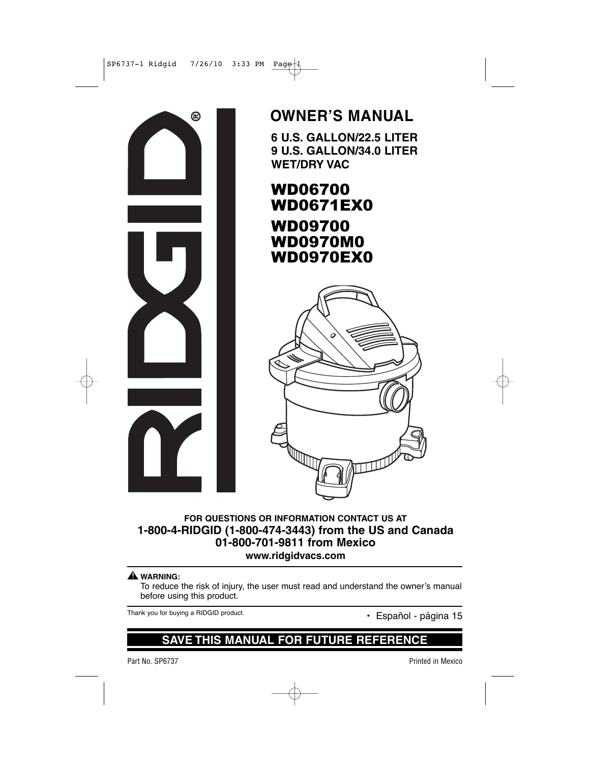$SPI6737-1$  Ridgid  $7/26/10$  3:33 PM Page



## **1-800-4-RIDGID (1-800-474-3443) from the US and Canada 01-800-701-9811 from Mexico www.ridgidvacs.com**

### **WARNING: !**

To reduce the risk of injury, the user must read and understand the owner's manual before using this product.

Thank you for buying a RIDGID product.<br>
• Español - página 15

### **SAVE THIS MANUAL FOR FUTURE REFERENCE**

Part No. SP6737 Printed in Mexico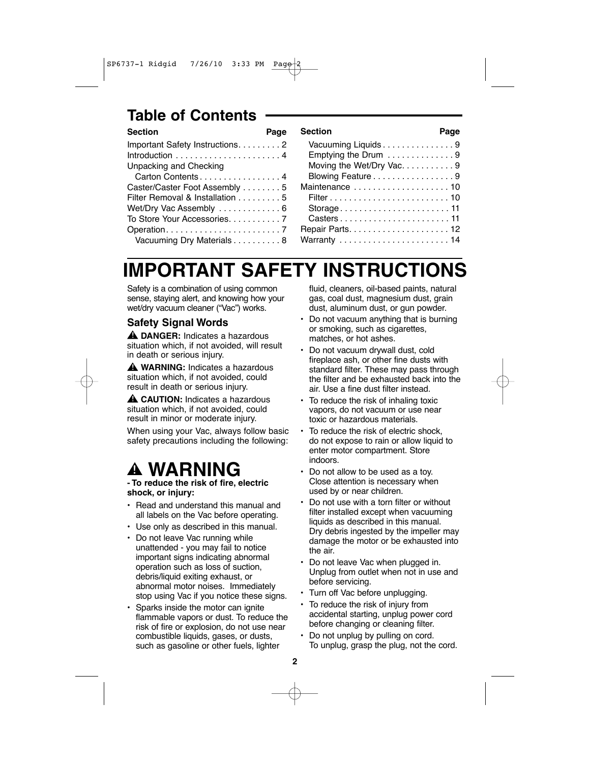## **Table of Contents**

| Important Safety Instructions. 2 |
|----------------------------------|
|                                  |
| Unpacking and Checking           |
| Carton Contents 4                |
| Caster/Caster Foot Assembly 5    |
| Filter Removal & Installation 5  |
| Wet/Dry Vac Assembly  6          |
| To Store Your Accessories. 7     |
|                                  |
| Vacuuming Dry Materials 8        |

| <b>Section</b><br>Page    |
|---------------------------|
| Vacuuming Liquids 9       |
| Emptying the Drum 9       |
| Moving the Wet/Dry Vac. 9 |
| Blowing Feature 9         |
| Maintenance  10           |
|                           |
|                           |
| Casters 11                |
|                           |
| Warranty 14               |
|                           |

## **IMPORTANT SAFETY INSTRUCTIONS**

Safety is a combination of using common sense, staying alert, and knowing how your wet/dry vacuum cleaner ("Vac") works.

### **Safety Signal Words**

**DANGER:** Indicates a hazardous **!** situation which, if not avoided, will result in death or serious injury.

**WARNING:** Indicates a hazardous **!** situation which, if not avoided, could result in death or serious injury.

**CAUTION:** Indicates a hazardous **!** situation which, if not avoided, could result in minor or moderate injury.

When using your Vac, always follow basic safety precautions including the following:

## **WARNING !**

**- To reduce the risk of fire, electric shock, or injury:**

- Read and understand this manual and all labels on the Vac before operating.
- Use only as described in this manual.
- Do not leave Vac running while unattended - you may fail to notice important signs indicating abnormal operation such as loss of suction, debris/liquid exiting exhaust, or abnormal motor noises. Immediately stop using Vac if you notice these signs.
- Sparks inside the motor can ignite flammable vapors or dust. To reduce the risk of fire or explosion, do not use near combustible liquids, gases, or dusts, such as gasoline or other fuels, lighter

fluid, cleaners, oil-based paints, natural gas, coal dust, magnesium dust, grain dust, aluminum dust, or gun powder.

- Do not vacuum anything that is burning or smoking, such as cigarettes, matches, or hot ashes.
- Do not vacuum drywall dust, cold fireplace ash, or other fine dusts with standard filter. These may pass through the filter and be exhausted back into the air. Use a fine dust filter instead.
- To reduce the risk of inhaling toxic vapors, do not vacuum or use near toxic or hazardous materials.
- To reduce the risk of electric shock, do not expose to rain or allow liquid to enter motor compartment. Store indoors.
- Do not allow to be used as a toy. Close attention is necessary when used by or near children.
- Do not use with a torn filter or without filter installed except when vacuuming liquids as described in this manual. Dry debris ingested by the impeller may damage the motor or be exhausted into the air.
- Do not leave Vac when plugged in. Unplug from outlet when not in use and before servicing.
- Turn off Vac before unplugging.
- To reduce the risk of injury from accidental starting, unplug power cord before changing or cleaning filter.
- Do not unplug by pulling on cord. To unplug, grasp the plug, not the cord.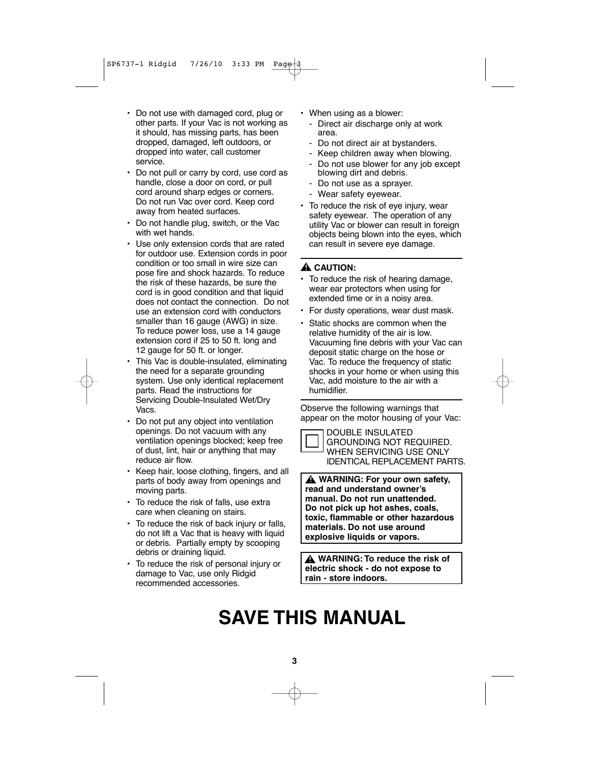- Do not use with damaged cord, plug or other parts. If your Vac is not working as it should, has missing parts, has been dropped, damaged, left outdoors, or dropped into water, call customer service.
- Do not pull or carry by cord, use cord as handle, close a door on cord, or pull cord around sharp edges or corners. Do not run Vac over cord. Keep cord away from heated surfaces.
- Do not handle plug, switch, or the Vac with wet hands.
- Use only extension cords that are rated for outdoor use. Extension cords in poor condition or too small in wire size can pose fire and shock hazards. To reduce the risk of these hazards, be sure the cord is in good condition and that liquid does not contact the connection. Do not use an extension cord with conductors smaller than 16 gauge (AWG) in size. To reduce power loss, use a 14 gauge extension cord if 25 to 50 ft. long and 12 gauge for 50 ft. or longer.
- This Vac is double-insulated, eliminating the need for a separate grounding system. Use only identical replacement parts. Read the instructions for Servicing Double-Insulated Wet/Dry Vacs.
- Do not put any object into ventilation openings. Do not vacuum with any ventilation openings blocked; keep free of dust, lint, hair or anything that may reduce air flow.
- Keep hair, loose clothing, fingers, and all parts of body away from openings and moving parts.
- To reduce the risk of falls, use extra care when cleaning on stairs.
- To reduce the risk of back injury or falls, do not lift a Vac that is heavy with liquid or debris. Partially empty by scooping debris or draining liquid.
- To reduce the risk of personal injury or damage to Vac, use only Ridgid recommended accessories.
- When using as a blower:
	- Direct air discharge only at work area.
	- Do not direct air at bystanders.
	- Keep children away when blowing.
	- Do not use blower for any job except blowing dirt and debris.
	- Do not use as a sprayer.
	- Wear safety eyewear.
- To reduce the risk of eye injury, wear safety eyewear. The operation of any utility Vac or blower can result in foreign objects being blown into the eyes, which can result in severe eye damage.

#### **CAUTION: !**

- To reduce the risk of hearing damage, wear ear protectors when using for extended time or in a noisy area.
- For dusty operations, wear dust mask.
- Static shocks are common when the relative humidity of the air is low. Vacuuming fine debris with your Vac can deposit static charge on the hose or Vac. To reduce the frequency of static shocks in your home or when using this Vac, add moisture to the air with a humidifier.

Observe the following warnings that appear on the motor housing of your Vac:



GROUNDING NOT REQUIRED. WHEN SERVICING USE ONLY IDENTICAL REPLACEMENT PARTS.

**WARNING: For your own safety, ! read and understand owner's manual. Do not run unattended. Do not pick up hot ashes, coals, toxic, flammable or other hazardous materials. Do not use around explosive liquids or vapors.**

**WARNING: To reduce the risk of ! electric shock - do not expose to rain - store indoors.**

# **SAVE THIS MANUAL**

**3**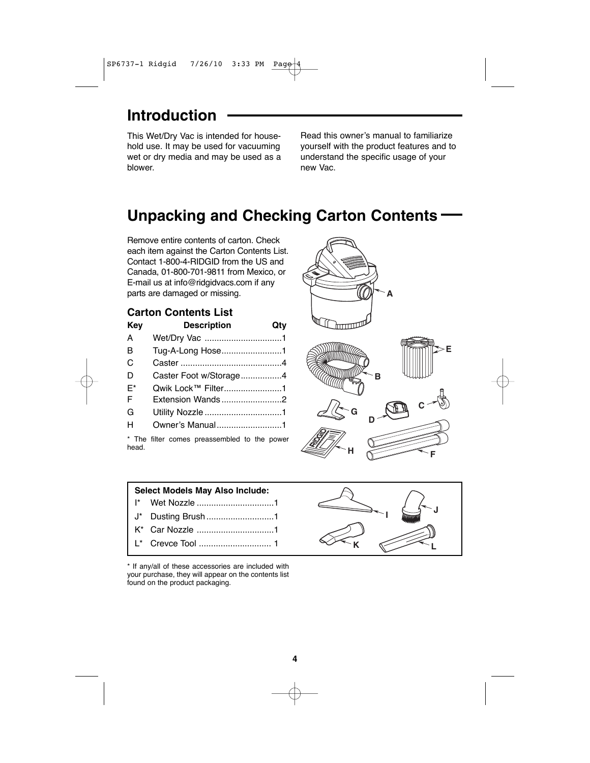## **Introduction**

This Wet/Dry Vac is intended for household use. It may be used for vacuuming wet or dry media and may be used as a blower.

Read this owner's manual to familiarize yourself with the product features and to understand the specific usage of your new Vac.

## **Unpacking and Checking Carton Contents**

Remove entire contents of carton. Check each item against the Carton Contents List. Contact 1-800-4-RIDGID from the US and Canada, 01-800-701-9811 from Mexico, or E-mail us at info@ridgidvacs.com if any parts are damaged or missing.

### **Carton Contents List**

| <b>Key</b> | <b>Description</b>                           | Qtv |
|------------|----------------------------------------------|-----|
| A          | Wet/Dry Vac 1                                |     |
| в          | Tug-A-Long Hose1                             |     |
| C          |                                              |     |
| D          | Caster Foot w/Storage4                       |     |
| F*         | Qwik Lock™ Filter1                           |     |
| F          | Extension Wands2                             |     |
| G          |                                              |     |
| н          | Owner's Manual1                              |     |
| head.      | * The filter comes preassembled to the power |     |





### **Select Models May Also Include:**

- I\* Wet Nozzle ................................1 J\* Dusting Brush ............................1
- K\* Car Nozzle ................................1
- L\* Crevce Tool .............................. 1 **K**

\* If any/all of these accessories are included with your purchase, they will appear on the contents list found on the product packaging.

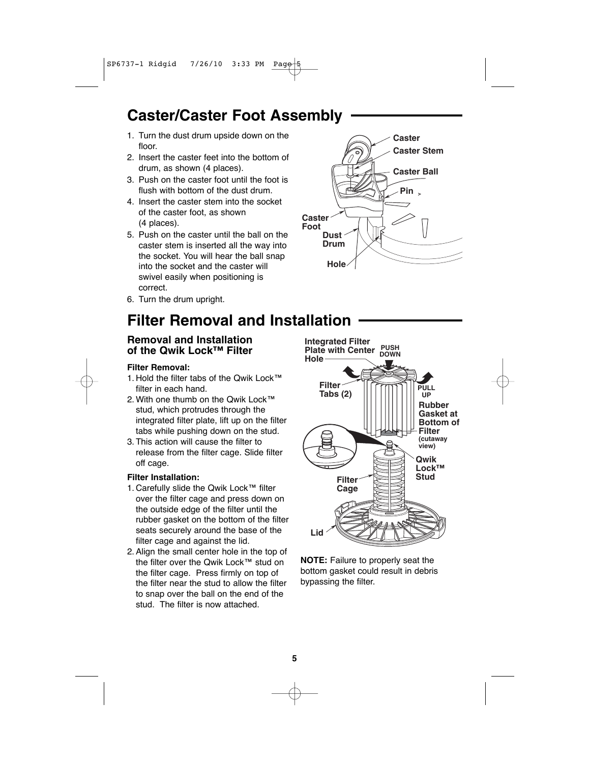## **Caster/Caster Foot Assembly**

- 1. Turn the dust drum upside down on the floor.
- 2. Insert the caster feet into the bottom of drum, as shown (4 places).
- 3. Push on the caster foot until the foot is flush with bottom of the dust drum.
- 4. Insert the caster stem into the socket of the caster foot, as shown (4 places).
- 5. Push on the caster until the ball on the caster stem is inserted all the way into the socket. You will hear the ball snap into the socket and the caster will swivel easily when positioning is correct.
- 6. Turn the drum upright.

## **Filter Removal and Installation**

### **Removal and Installation of the Qwik Lock™ Filter**

### **Filter Removal:**

- 1. Hold the filter tabs of the Qwik Lock™ filter in each hand.
- 2. With one thumb on the Qwik Lock™ stud, which protrudes through the integrated filter plate, lift up on the filter tabs while pushing down on the stud.
- 3. This action will cause the filter to release from the filter cage. Slide filter off cage.

### **Filter Installation:**

- 1. Carefully slide the Qwik Lock™ filter over the filter cage and press down on the outside edge of the filter until the rubber gasket on the bottom of the filter seats securely around the base of the filter cage and against the lid.
- 2. Align the small center hole in the top of the filter over the Qwik Lock™ stud on the filter cage. Press firmly on top of the filter near the stud to allow the filter to snap over the ball on the end of the stud. The filter is now attached.





**NOTE:** Failure to properly seat the bottom gasket could result in debris bypassing the filter.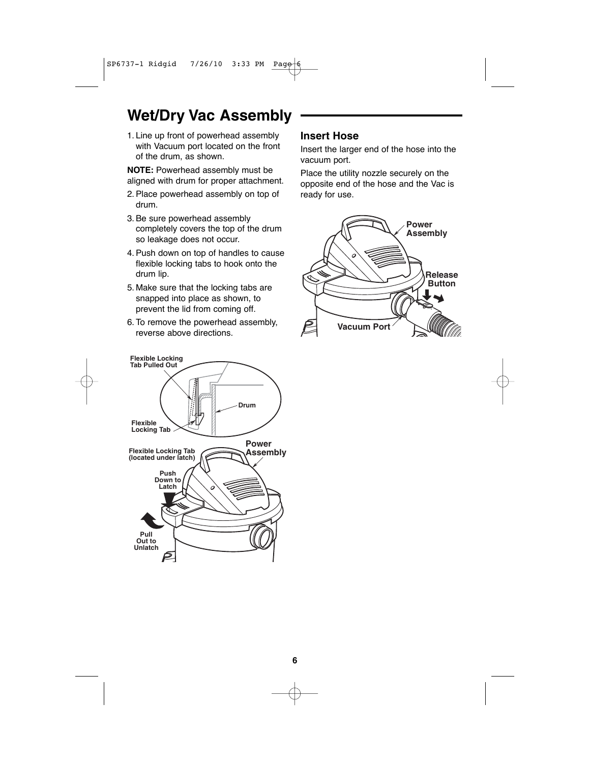## **Wet/Dry Vac Assembly**

1. Line up front of powerhead assembly with Vacuum port located on the front of the drum, as shown.

**NOTE:** Powerhead assembly must be aligned with drum for proper attachment.

- 2. Place powerhead assembly on top of drum.
- 3. Be sure powerhead assembly completely covers the top of the drum so leakage does not occur.
- 4. Push down on top of handles to cause flexible locking tabs to hook onto the drum lip.
- 5. Make sure that the locking tabs are snapped into place as shown, to prevent the lid from coming off.
- 6. To remove the powerhead assembly, reverse above directions.

### **Insert Hose**

Insert the larger end of the hose into the vacuum port.

Place the utility nozzle securely on the opposite end of the hose and the Vac is ready for use.



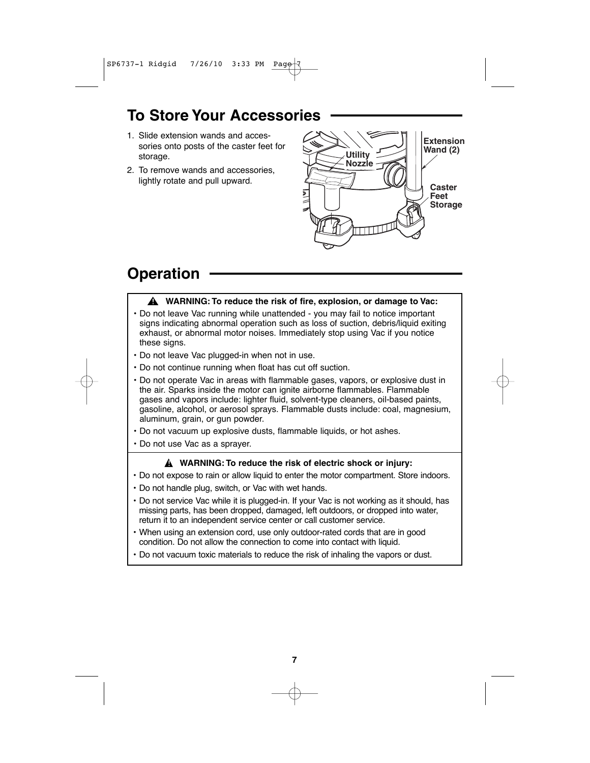## **To Store Your Accessories**

- 1. Slide extension wands and accessories onto posts of the caster feet for storage.
- 2. To remove wands and accessories, lightly rotate and pull upward.



## **Operation**

### **WARNING: To reduce the risk of fire, explosion, or damage to Vac: !**

- Do not leave Vac running while unattended you may fail to notice important signs indicating abnormal operation such as loss of suction, debris/liquid exiting exhaust, or abnormal motor noises. Immediately stop using Vac if you notice these signs.
- Do not leave Vac plugged-in when not in use.
- Do not continue running when float has cut off suction.
- Do not operate Vac in areas with flammable gases, vapors, or explosive dust in the air. Sparks inside the motor can ignite airborne flammables. Flammable gases and vapors include: lighter fluid, solvent-type cleaners, oil-based paints, gasoline, alcohol, or aerosol sprays. Flammable dusts include: coal, magnesium, aluminum, grain, or gun powder.
- Do not vacuum up explosive dusts, flammable liquids, or hot ashes.
- Do not use Vac as a sprayer.

### **WARNING: To reduce the risk of electric shock or injury: !**

- Do not expose to rain or allow liquid to enter the motor compartment. Store indoors.
- Do not handle plug, switch, or Vac with wet hands.
- Do not service Vac while it is plugged-in. If your Vac is not working as it should, has missing parts, has been dropped, damaged, left outdoors, or dropped into water, return it to an independent service center or call customer service.
- When using an extension cord, use only outdoor-rated cords that are in good condition. Do not allow the connection to come into contact with liquid.
- Do not vacuum toxic materials to reduce the risk of inhaling the vapors or dust.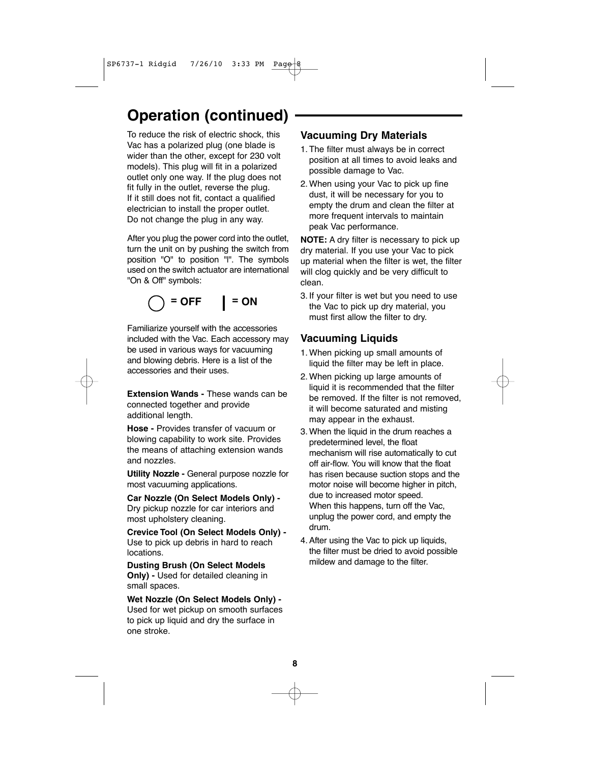## **Operation (continued)**

To reduce the risk of electric shock, this Vac has a polarized plug (one blade is wider than the other, except for 230 volt models). This plug will fit in a polarized outlet only one way. If the plug does not fit fully in the outlet, reverse the plug. If it still does not fit, contact a qualified electrician to install the proper outlet. Do not change the plug in any way.

After you plug the power cord into the outlet, turn the unit on by pushing the switch from position "O" to position "l". The symbols used on the switch actuator are international "On & Off" symbols:



Familiarize yourself with the accessories included with the Vac. Each accessory may be used in various ways for vacuuming and blowing debris. Here is a list of the accessories and their uses.

**Extension Wands -** These wands can be connected together and provide additional length.

**Hose -** Provides transfer of vacuum or blowing capability to work site. Provides the means of attaching extension wands and nozzles.

**Utility Nozzle -** General purpose nozzle for most vacuuming applications.

**Car Nozzle (On Select Models Only) -** Dry pickup nozzle for car interiors and most upholstery cleaning.

**Crevice Tool (On Select Models Only) -** Use to pick up debris in hard to reach locations.

**Dusting Brush (On Select Models Only) -** Used for detailed cleaning in small spaces.

**Wet Nozzle (On Select Models Only) -** Used for wet pickup on smooth surfaces to pick up liquid and dry the surface in one stroke.

### **Vacuuming Dry Materials**

- 1. The filter must always be in correct position at all times to avoid leaks and possible damage to Vac.
- 2. When using your Vac to pick up fine dust, it will be necessary for you to empty the drum and clean the filter at more frequent intervals to maintain peak Vac performance.

**NOTE:** A dry filter is necessary to pick up dry material. If you use your Vac to pick up material when the filter is wet, the filter will clog quickly and be very difficult to clean.

3. If your filter is wet but you need to use the Vac to pick up dry material, you must first allow the filter to dry.

### **Vacuuming Liquids**

- 1. When picking up small amounts of liquid the filter may be left in place.
- 2. When picking up large amounts of liquid it is recommended that the filter be removed. If the filter is not removed, it will become saturated and misting may appear in the exhaust.
- 3. When the liquid in the drum reaches a predetermined level, the float mechanism will rise automatically to cut off air-flow. You will know that the float has risen because suction stops and the motor noise will become higher in pitch, due to increased motor speed. When this happens, turn off the Vac, unplug the power cord, and empty the drum.
- 4. After using the Vac to pick up liquids, the filter must be dried to avoid possible mildew and damage to the filter.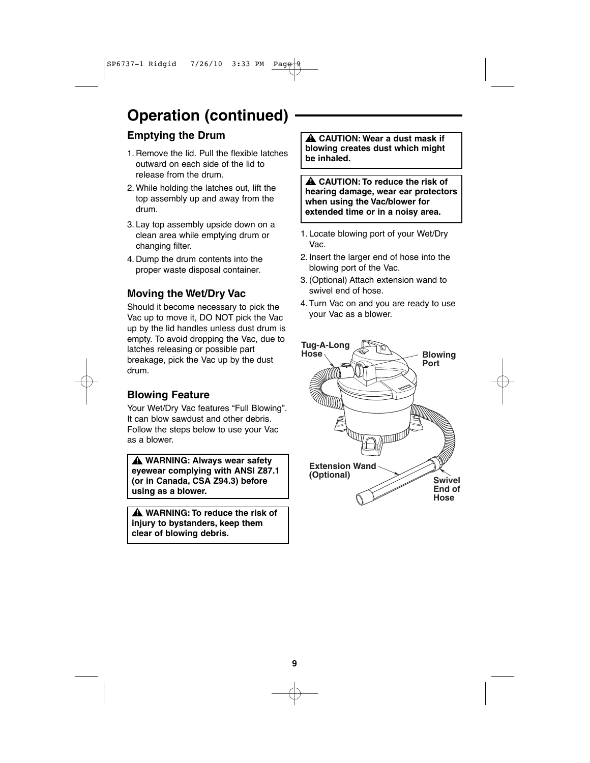## **Operation (continued)**

### **Emptying the Drum**

- 1. Remove the lid. Pull the flexible latches outward on each side of the lid to release from the drum.
- 2. While holding the latches out, lift the top assembly up and away from the drum.
- 3. Lay top assembly upside down on a clean area while emptying drum or changing filter.
- 4. Dump the drum contents into the proper waste disposal container.

### **Moving the Wet/Dry Vac**

Should it become necessary to pick the Vac up to move it, DO NOT pick the Vac up by the lid handles unless dust drum is empty. To avoid dropping the Vac, due to latches releasing or possible part breakage, pick the Vac up by the dust drum.

### **Blowing Feature**

Your Wet/Dry Vac features "Full Blowing". It can blow sawdust and other debris. Follow the steps below to use your Vac as a blower.

**WARNING: Always wear safety ! eyewear complying with ANSI Z87.1 (or in Canada, CSA Z94.3) before using as a blower.**

**WARNING: To reduce the risk of ! injury to bystanders, keep them clear of blowing debris.**

**CAUTION: Wear a dust mask if ! blowing creates dust which might be inhaled.**

**CAUTION: To reduce the risk of ! hearing damage, wear ear protectors when using the Vac/blower for extended time or in a noisy area.**

- 1. Locate blowing port of your Wet/Dry Vac.
- 2. Insert the larger end of hose into the blowing port of the Vac.
- 3. (Optional) Attach extension wand to swivel end of hose.
- 4. Turn Vac on and you are ready to use your Vac as a blower.

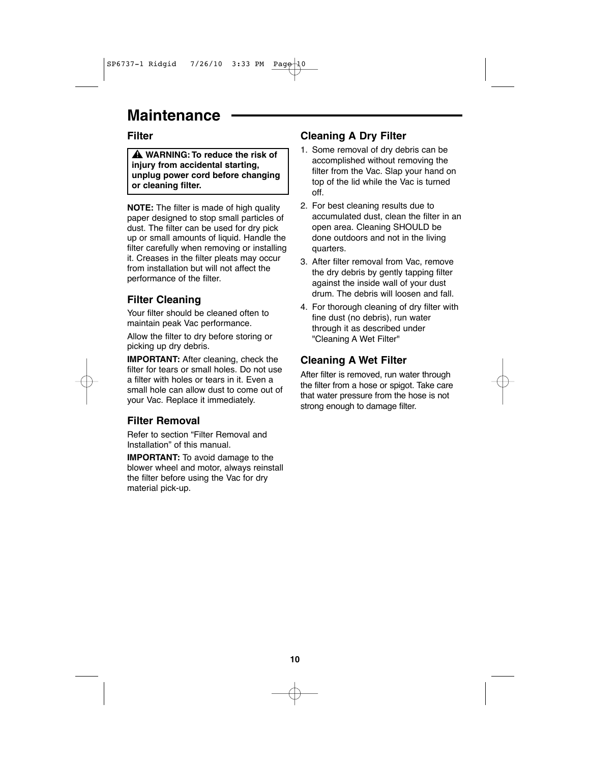### **Maintenance**

### **Filter**

**WARNING: To reduce the risk of ! injury from accidental starting, unplug power cord before changing or cleaning filter.**

**NOTE:** The filter is made of high quality paper designed to stop small particles of dust. The filter can be used for dry pick up or small amounts of liquid. Handle the filter carefully when removing or installing it. Creases in the filter pleats may occur from installation but will not affect the performance of the filter.

### **Filter Cleaning**

Your filter should be cleaned often to maintain peak Vac performance.

Allow the filter to dry before storing or picking up dry debris.

**IMPORTANT:** After cleaning, check the filter for tears or small holes. Do not use a filter with holes or tears in it. Even a small hole can allow dust to come out of your Vac. Replace it immediately.

### **Filter Removal**

Refer to section "Filter Removal and Installation" of this manual.

**IMPORTANT:** To avoid damage to the blower wheel and motor, always reinstall the filter before using the Vac for dry material pick-up.

### **Cleaning A Dry Filter**

- 1. Some removal of dry debris can be accomplished without removing the filter from the Vac. Slap your hand on top of the lid while the Vac is turned off.
- 2. For best cleaning results due to accumulated dust, clean the filter in an open area. Cleaning SHOULD be done outdoors and not in the living quarters.
- 3. After filter removal from Vac, remove the dry debris by gently tapping filter against the inside wall of your dust drum. The debris will loosen and fall.
- 4. For thorough cleaning of dry filter with fine dust (no debris), run water through it as described under "Cleaning A Wet Filter"

### **Cleaning A Wet Filter**

After filter is removed, run water through the filter from a hose or spigot. Take care that water pressure from the hose is not strong enough to damage filter.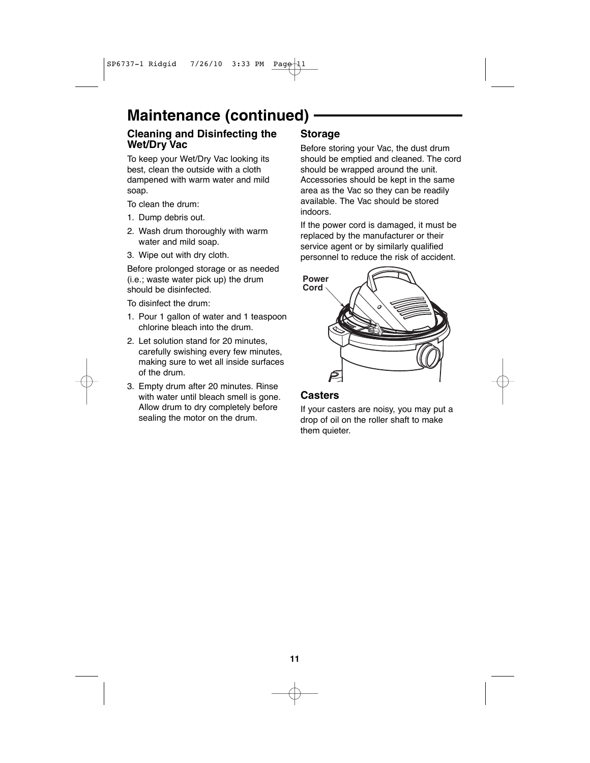## **Maintenance (continued)**

### **Cleaning and Disinfecting the Wet/Dry Vac**

To keep your Wet/Dry Vac looking its best, clean the outside with a cloth dampened with warm water and mild soap.

To clean the drum:

- 1. Dump debris out.
- 2. Wash drum thoroughly with warm water and mild soap.
- 3. Wipe out with dry cloth.

Before prolonged storage or as needed (i.e.; waste water pick up) the drum should be disinfected.

To disinfect the drum:

- 1. Pour 1 gallon of water and 1 teaspoon chlorine bleach into the drum.
- 2. Let solution stand for 20 minutes, carefully swishing every few minutes, making sure to wet all inside surfaces of the drum.
- 3. Empty drum after 20 minutes. Rinse with water until bleach smell is gone. Allow drum to dry completely before sealing the motor on the drum.

### **Storage**

Before storing your Vac, the dust drum should be emptied and cleaned. The cord should be wrapped around the unit. Accessories should be kept in the same area as the Vac so they can be readily available. The Vac should be stored indoors.

If the power cord is damaged, it must be replaced by the manufacturer or their service agent or by similarly qualified personnel to reduce the risk of accident.



### **Casters**

If your casters are noisy, you may put a drop of oil on the roller shaft to make them quieter.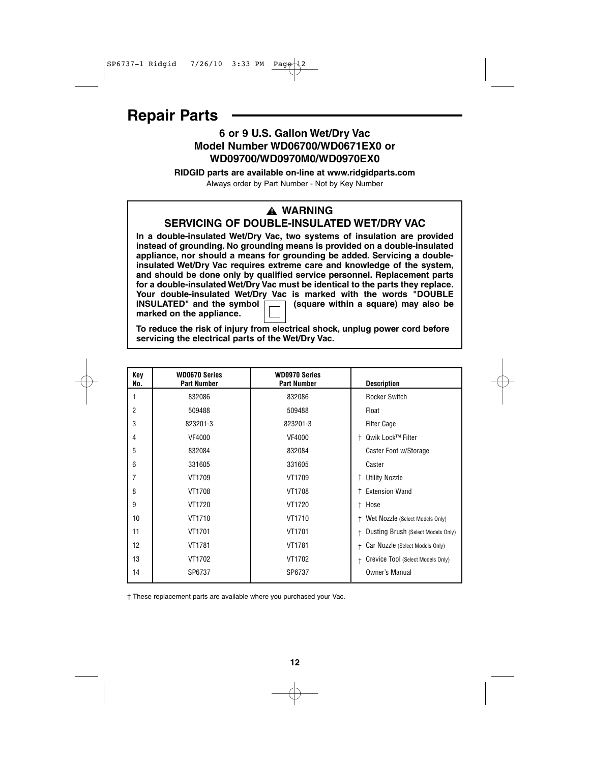## **Repair Parts**

### **6 or 9 U.S. Gallon Wet/Dry Vac Model Number WD06700/WD0671EX0 or WD09700/WD0970M0/WD0970EX0**

**RIDGID parts are available on-line at www.ridgidparts.com** Always order by Part Number - Not by Key Number

### **WARNING ! SERVICING OF DOUBLE-INSULATED WET/DRY VAC**

**In a double-insulated Wet/Dry Vac, two systems of insulation are provided instead of grounding. No grounding means is provided on a double-insulated appliance, nor should a means for grounding be added. Servicing a doubleinsulated Wet/Dry Vac requires extreme care and knowledge of the system, and should be done only by qualified service personnel. Replacement parts for a double-insulated Wet/Dry Vac must be identical to the parts they replace. Your double-insulated Wet/Dry Vac is marked with the words "DOUBLE<br>INSULATED" and the symbol**  $\boxed{)}$  **(square within a square) may also be (square within a square) may also be marked on the appliance.**

**To reduce the risk of injury from electrical shock, unplug power cord before servicing the electrical parts of the Wet/Dry Vac.**

| Kev<br>No.     | <b>WD0670 Series</b><br><b>Part Number</b> | <b>WD0970 Series</b><br><b>Part Number</b> | <b>Description</b>                              |
|----------------|--------------------------------------------|--------------------------------------------|-------------------------------------------------|
|                | 832086                                     | 832086                                     | <b>Rocker Switch</b>                            |
| $\overline{2}$ | 509488                                     | 509488                                     | Float                                           |
| 3              | 823201-3                                   | 823201-3                                   | <b>Filter Cage</b>                              |
| 4              | VF4000                                     | <b>VF4000</b>                              | Qwik Lock™ Filter<br>t                          |
| 5              | 832084                                     | 832084                                     | Caster Foot w/Storage                           |
| 6              | 331605                                     | 331605                                     | Caster                                          |
| 7              | VT1709                                     | VT1709                                     | <sup>†</sup> Utility Nozzle                     |
| 8              | VT1708                                     | VT1708                                     | <b>t</b> Extension Wand                         |
| 9              | VT1720                                     | VT1720                                     | t<br>Hose                                       |
| 10             | VT1710                                     | VT1710                                     | Wet Nozzle (Select Models Only)<br>t            |
| 11             | VT1701                                     | VT1701                                     | Dusting Brush (Select Models Only)<br>$\ddot{}$ |
| 12             | <b>VT1781</b>                              | VT1781                                     | Car Nozzle (Select Models Only)<br>$\ddot{}$    |
| 13             | VT1702                                     | VT1702                                     | Crevice Tool (Select Models Only)<br>$\ddot{}$  |
| 14             | SP6737                                     | SP6737                                     | Owner's Manual                                  |

† These replacement parts are available where you purchased your Vac.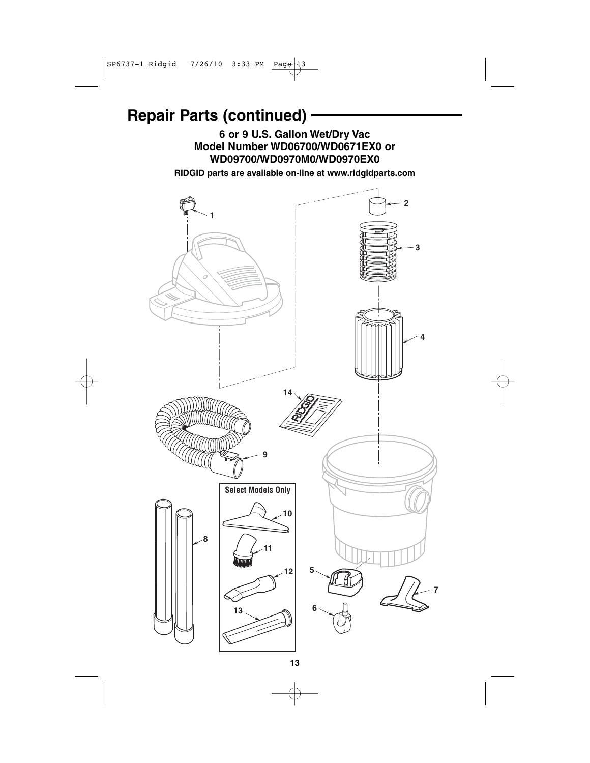

## **Repair Parts (continued)**

**6 or 9 U.S. Gallon Wet/Dry Vac Model Number WD06700/WD0671EX0 or WD09700/WD0970M0/WD0970EX0**

**RIDGID parts are available on-line at www.ridgidparts.com**



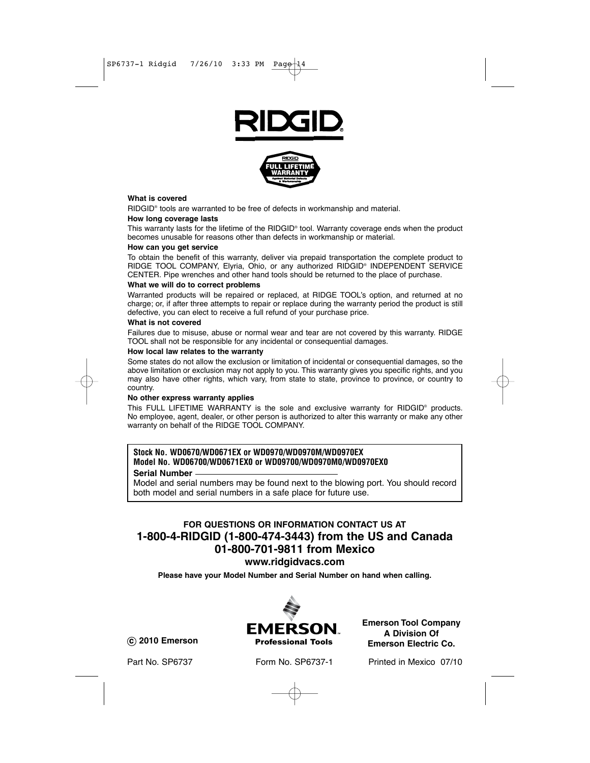



### **What is covered**

RIDGID® tools are warranted to be free of defects in workmanship and material.

#### **How long coverage lasts**

This warranty lasts for the lifetime of the RIDGID® tool. Warranty coverage ends when the product becomes unusable for reasons other than defects in workmanship or material.

### **How can you get service**

To obtain the benefit of this warranty, deliver via prepaid transportation the complete product to RIDGE TOOL COMPANY, Elyria, Ohio, or any authorized RIDGID® INDEPENDENT SERVICE CENTER. Pipe wrenches and other hand tools should be returned to the place of purchase.

### **What we will do to correct problems**

Warranted products will be repaired or replaced, at RIDGE TOOL's option, and returned at no charge; or, if after three attempts to repair or replace during the warranty period the product is still defective, you can elect to receive a full refund of your purchase price.

#### **What is not covered**

Failures due to misuse, abuse or normal wear and tear are not covered by this warranty. RIDGE TOOL shall not be responsible for any incidental or consequential damages.

### **How local law relates to the warranty**

Some states do not allow the exclusion or limitation of incidental or consequential damages, so the above limitation or exclusion may not apply to you. This warranty gives you specific rights, and you may also have other rights, which vary, from state to state, province to province, or country to country.

### **No other express warranty applies**

This FULL LIFETIME WARRANTY is the sole and exclusive warranty for RIDGID® products. No employee, agent, dealer, or other person is authorized to alter this warranty or make any other warranty on behalf of the RIDGE TOOL COMPANY.

### **Stock No. WD0670/WD0671EX or WD0970/WD0970M/WD0970EX Model No. WD06700/WD0671EX0 or WD09700/WD0970M0/WD0970EX0**

### **Serial Number**

Model and serial numbers may be found next to the blowing port. You should record both model and serial numbers in a safe place for future use.

### **FOR QUESTIONS OR INFORMATION CONTACT US AT 1-800-4-RIDGID (1-800-474-3443) from the US and Canada 01-800-701-9811 from Mexico**

### **www.ridgidvacs.com**

**Please have your Model Number and Serial Number on hand when calling.**



**Emerson Tool Company A Division Of Emerson Electric Co.**

**c 2010 Emerson**

Professional Tools

Part No. SP6737 Form No. SP6737-1 Printed in Mexico 07/10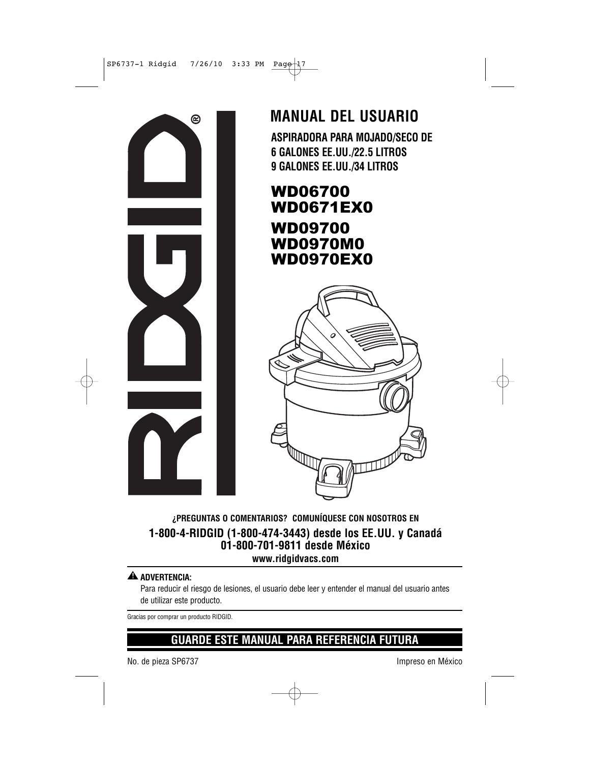

## **MANUAL DEL USUARIO**

**ASPIRADORA PARA MOJADO/SECO DE 6 GALONES EE.UU./22.5 LITROS 9 GALONES EE.UU./34 LITROS**

## WD06700 WD0671EX0 WD09700 WD0970M0 WD0970EX0



### **¿PREGUNTAS O COMENTARIOS? COMUNÍQUESE CON NOSOTROS EN 1-800-4-RIDGID (1-800-474-3443) desde los EE.UU. y Canadá 01-800-701-9811 desde México www.ridgidvacs.com**

### **ADVERTENCIA: !**

Para reducir el riesgo de lesiones, el usuario debe leer y entender el manual del usuario antes de utilizar este producto.

Gracias por comprar un producto RIDGID.

### **GUARDE ESTE MANUAL PARA REFERENCIA FUTURA**

No. de pieza SP6737 impreso en México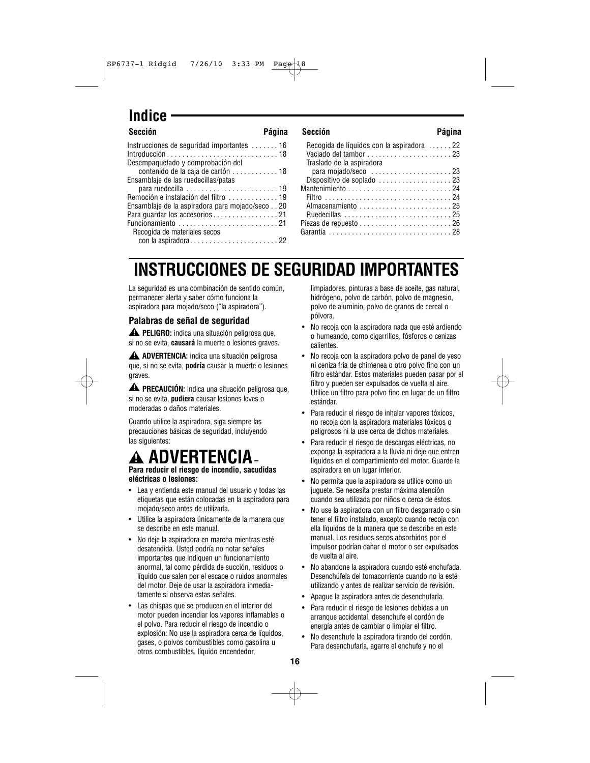### **Indice**

| Seccion<br>Pagina                              |
|------------------------------------------------|
| Instrucciones de seguridad importantes 16      |
|                                                |
| Desempaquetado y comprobación del              |
| contenido de la caja de cartón  18             |
| Ensamblaje de las ruedecillas/patas            |
| para ruedecilla  19                            |
| Remoción e instalación del filtro 19           |
| Ensamblaje de la aspiradora para mojado/seco20 |
| Para quardar los accesorios 21                 |
|                                                |
| Recogida de materiales secos                   |
|                                                |

| Sección                                                                       | Página | Sección                                                                                                                              | Página |
|-------------------------------------------------------------------------------|--------|--------------------------------------------------------------------------------------------------------------------------------------|--------|
| nstrucciones de seguridad importantes 16<br>Desempaquetado y comprobación del |        | Recogida de líquidos con la aspiradora 22<br>Vaciado del tambor $\ldots \ldots \ldots \ldots \ldots$ 23<br>Traslado de la aspiradora |        |
| contenido de la caja de cartón 18                                             |        | para mojado/seco $\ldots \ldots \ldots \ldots \ldots \ldots$ 23                                                                      |        |
| Ensamblaje de las ruedecillas/patas                                           |        |                                                                                                                                      |        |
| para ruedecilla $\ldots \ldots \ldots \ldots \ldots \ldots \ldots$ 19         |        |                                                                                                                                      |        |
| Remoción e instalación del filtro 19                                          |        |                                                                                                                                      |        |
| Ensamblaie de la aspiradora para moiado/seco 20                               |        |                                                                                                                                      |        |
| Para quardar los accesorios $\dots\dots\dots\dots\dots$ 21                    |        |                                                                                                                                      |        |
|                                                                               |        |                                                                                                                                      |        |
| Recogida de materiales secos                                                  |        |                                                                                                                                      |        |

## **INSTRUCCIONES DE SEGURIDAD IMPORTANTES**

La seguridad es una combinación de sentido común, permanecer alerta y saber cómo funciona la aspiradora para mojado/seco ("la aspiradora").

### **Palabras de señal de seguridad**

**PELIGRO:** indica una situación peligrosa que, **!** si no se evita, **causará** la muerte o lesiones graves.

**ADVERTENCIA:** indica una situación peligrosa **!** que, si no se evita, **podría** causar la muerte o lesiones graves.

**PRECAUCIÓN:** indica una situación peligrosa que, **!** si no se evita, **pudiera** causar lesiones leves o moderadas o daños materiales.

Cuando utilice la aspiradora, siga siempre las precauciones básicas de seguridad, incluyendo las siguientes:

## **ADVERTENCIA– !**

**Para reducir el riesgo de incendio, sacudidas eléctricas o lesiones:**

- Lea y entienda este manual del usuario y todas las etiquetas que están colocadas en la aspiradora para mojado/seco antes de utilizarla.
- Utilice la aspiradora únicamente de la manera que se describe en este manual.
- No deje la aspiradora en marcha mientras esté desatendida. Usted podría no notar señales importantes que indiquen un funcionamiento anormal, tal como pérdida de succión, residuos o líquido que salen por el escape o ruidos anormales del motor. Deje de usar la aspiradora inmediatamente si observa estas señales.
- Las chispas que se producen en el interior del motor pueden incendiar los vapores inflamables o el polvo. Para reducir el riesgo de incendio o explosión: No use la aspiradora cerca de líquidos, gases, o polvos combustibles como gasolina u otros combustibles, líquido encendedor,

limpiadores, pinturas a base de aceite, gas natural, hidrógeno, polvo de carbón, polvo de magnesio, polvo de aluminio, polvo de granos de cereal o pólvora.

- No recoja con la aspiradora nada que esté ardiendo o humeando, como cigarrillos, fósforos o cenizas calientes.
- No recoja con la aspiradora polvo de panel de yeso ni ceniza fría de chimenea o otro polvo fino con un filtro estándar. Estos materiales pueden pasar por el filtro y pueden ser expulsados de vuelta al aire. Utilice un filtro para polvo fino en lugar de un filtro estándar.
- Para reducir el riesgo de inhalar vapores tóxicos, no recoja con la aspiradora materiales tóxicos o peligrosos ni la use cerca de dichos materiales.
- Para reducir el riesgo de descargas eléctricas, no exponga la aspiradora a la lluvia ni deje que entren líquidos en el compartimiento del motor. Guarde la aspiradora en un lugar interior.
- No permita que la aspiradora se utilice como un juguete. Se necesita prestar máxima atención cuando sea utilizada por niños o cerca de éstos.
- No use la aspiradora con un filtro desgarrado o sin tener el filtro instalado, excepto cuando recoja con ella líquidos de la manera que se describe en este manual. Los residuos secos absorbidos por el impulsor podrían dañar el motor o ser expulsados de vuelta al aire.
- No abandone la aspiradora cuando esté enchufada. Desenchúfela del tomacorriente cuando no la esté utilizando y antes de realizar servicio de revisión.
- Apague la aspiradora antes de desenchufarla.
- Para reducir el riesgo de lesiones debidas a un arranque accidental, desenchufe el cordón de energía antes de cambiar o limpiar el filtro.
- No desenchufe la aspiradora tirando del cordón. Para desenchufarla, agarre el enchufe y no el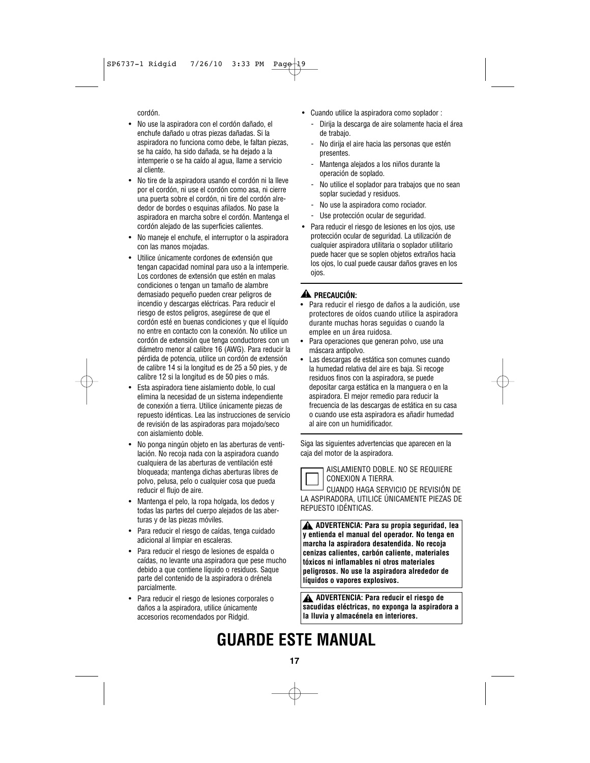cordón.

- No use la aspiradora con el cordón dañado, el enchufe dañado u otras piezas dañadas. Si la aspiradora no funciona como debe, le faltan piezas, se ha caído, ha sido dañada, se ha dejado a la intemperie o se ha caído al agua, llame a servicio al cliente.
- No tire de la aspiradora usando el cordón ni la lleve por el cordón, ni use el cordón como asa, ni cierre una puerta sobre el cordón, ni tire del cordón alrededor de bordes o esquinas afilados. No pase la aspiradora en marcha sobre el cordón. Mantenga el cordón alejado de las superficies calientes.
- No maneje el enchufe, el interruptor o la aspiradora con las manos mojadas.
- Utilice únicamente cordones de extensión que tengan capacidad nominal para uso a la intemperie. Los cordones de extensión que estén en malas condiciones o tengan un tamaño de alambre demasiado pequeño pueden crear peligros de incendio y descargas eléctricas. Para reducir el riesgo de estos peligros, asegúrese de que el cordón esté en buenas condiciones y que el líquido no entre en contacto con la conexión. No utilice un cordón de extensión que tenga conductores con un diámetro menor al calibre 16 (AWG). Para reducir la pérdida de potencia, utilice un cordón de extensión de calibre 14 si la longitud es de 25 a 50 pies, y de calibre 12 si la longitud es de 50 pies o más.
- Esta aspiradora tiene aislamiento doble, lo cual elimina la necesidad de un sistema independiente de conexión a tierra. Utilice únicamente piezas de repuesto idénticas. Lea las instrucciones de servicio de revisión de las aspiradoras para mojado/seco con aislamiento doble.
- No ponga ningún objeto en las aberturas de ventilación. No recoja nada con la aspiradora cuando cualquiera de las aberturas de ventilación esté bloqueada; mantenga dichas aberturas libres de polvo, pelusa, pelo o cualquier cosa que pueda reducir el flujo de aire.
- Mantenga el pelo, la ropa holgada, los dedos y todas las partes del cuerpo alejados de las aberturas y de las piezas móviles.
- Para reducir el riesgo de caídas, tenga cuidado adicional al limpiar en escaleras.
- Para reducir el riesgo de lesiones de espalda o caídas, no levante una aspiradora que pese mucho debido a que contiene líquido o residuos. Saque parte del contenido de la aspiradora o drénela parcialmente.
- Para reducir el riesgo de lesiones corporales o daños a la aspiradora, utilice únicamente accesorios recomendados por Ridgid.
- Cuando utilice la aspiradora como soplador :
	- Dirija la descarga de aire solamente hacia el área de trabajo.
	- No dirija el aire hacia las personas que estén presentes.
	- Mantenga alejados a los niños durante la operación de soplado.
	- No utilice el soplador para trabajos que no sean soplar suciedad y residuos.
	- No use la aspiradora como rociador.
	- Use protección ocular de seguridad.
- Para reducir el riesgo de lesiones en los ojos, use protección ocular de seguridad. La utilización de cualquier aspiradora utilitaria o soplador utilitario puede hacer que se soplen objetos extraños hacia los ojos, lo cual puede causar daños graves en los ojos.

### **PRECAUCIÓN: !**

- Para reducir el riesgo de daños a la audición, use protectores de oídos cuando utilice la aspiradora durante muchas horas seguidas o cuando la emplee en un área ruidosa.
- Para operaciones que generan polvo, use una máscara antipolvo.
- Las descargas de estática son comunes cuando la humedad relativa del aire es baja. Si recoge residuos finos con la aspiradora, se puede depositar carga estática en la manguera o en la aspiradora. El mejor remedio para reducir la frecuencia de las descargas de estática en su casa o cuando use esta aspiradora es añadir humedad al aire con un humidificador.

Siga las siguientes advertencias que aparecen en la caja del motor de la aspiradora.



AISLAMIENTO DOBLE. NO SE REQUIERE CONEXION A TIERRA.

CUANDO HAGA SERVICIO DE REVISIÓN DE LA ASPIRADORA, UTILICE ÚNICAMENTE PIEZAS DE REPUESTO IDÉNTICAS.

**ADVERTENCIA: Para su propia seguridad, lea ! y entienda el manual del operador. No tenga en marcha la aspiradora desatendida. No recoja cenizas calientes, carbón caliente, materiales tóxicos ni inflamables ni otros materiales peligrosos. No use la aspiradora alrededor de líquidos o vapores explosivos.**

**ADVERTENCIA: Para reducir el riesgo de ! sacudidas eléctricas, no exponga la aspiradora a la lluvia y almacénela en interiores.**

## **GUARDE ESTE MANUAL**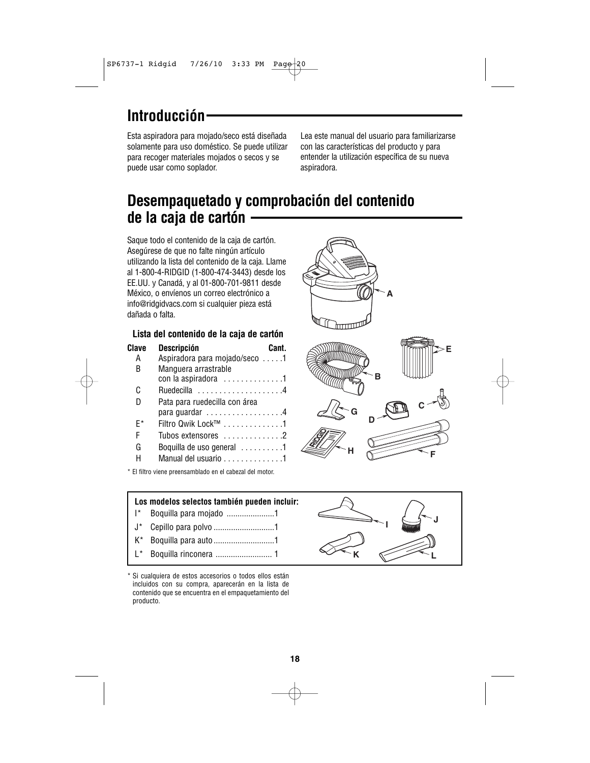## **Introducción**

Esta aspiradora para mojado/seco está diseñada solamente para uso doméstico. Se puede utilizar para recoger materiales mojados o secos y se puede usar como soplador.

Lea este manual del usuario para familiarizarse con las características del producto y para entender la utilización específica de su nueva aspiradora.

## **Desempaquetado y comprobación del contenido de la caja de cartón**

Saque todo el contenido de la caja de cartón. Asegúrese de que no falte ningún artículo utilizando la lista del contenido de la caja. Llame al 1-800-4-RIDGID (1-800-474-3443) desde los EE.UU. y Canadá, y al 01-800-701-9811 desde México, o envíenos un correo electrónico a info@ridgidvacs.com si cualquier pieza está dañada o falta.

### **Lista del contenido de la caja de cartón**

| Clave | <b>Descripción</b><br><b>Cant</b>         |  |
|-------|-------------------------------------------|--|
| А     | Aspiradora para mojado/seco 1             |  |
| B     | Manguera arrastrable                      |  |
|       | con la aspiradora 1                       |  |
| C     |                                           |  |
| D     | Pata para ruedecilla con área             |  |
|       | para guardar 4                            |  |
| F*    | Filtro Qwik Lock™ 1                       |  |
| F     | Tubos extensores 2                        |  |
| G     | Boquilla de uso general $\dots\dots\dots$ |  |
| Н     | Manual del usuario 1                      |  |
|       |                                           |  |

\* El filtro viene preensamblado en el cabezal del motor.

### **Los modelos selectos también pueden incluir:**

- I\* Boquilla para mojado ......................1
- J\* Cepillo para polvo ............................1
- K\* Boquilla para auto ............................1
- L\* Boquilla rinconera .......................... 1 **K**
- Si cualquiera de estos accesorios o todos ellos están incluidos con su compra, aparecerán en la lista de contenido que se encuentra en el empaquetamiento del producto.



**B**

**A**

**D**

**G**

**International Property** 

**C**

**E**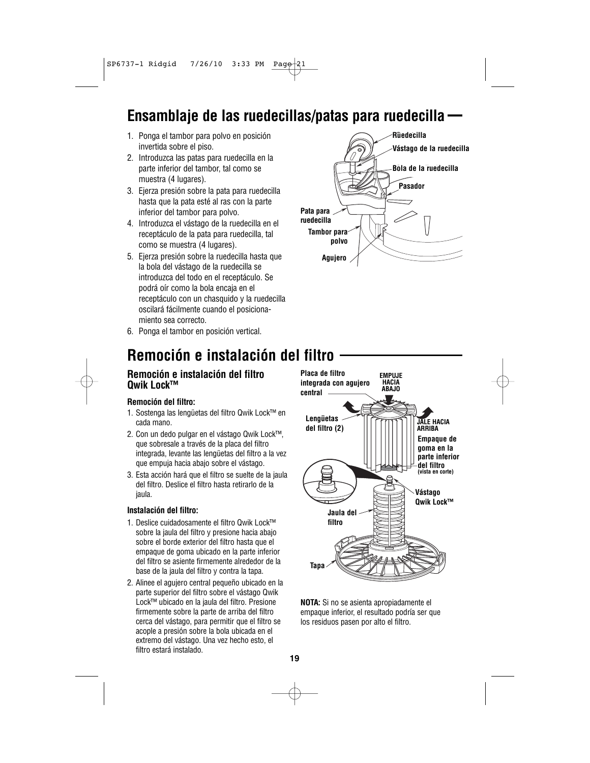## **Ensamblaje de las ruedecillas/patas para ruedecilla**

- 1. Ponga el tambor para polvo en posición invertida sobre el piso.
- 2. Introduzca las patas para ruedecilla en la parte inferior del tambor, tal como se muestra (4 lugares).
- 3. Ejerza presión sobre la pata para ruedecilla hasta que la pata esté al ras con la parte inferior del tambor para polvo.
- 4. Introduzca el vástago de la ruedecilla en el receptáculo de la pata para ruedecilla, tal como se muestra (4 lugares).
- 5. Ejerza presión sobre la ruedecilla hasta que la bola del vástago de la ruedecilla se introduzca del todo en el receptáculo. Se podrá oír como la bola encaja en el receptáculo con un chasquido y la ruedecilla oscilará fácilmente cuando el posicionamiento sea correcto.
- 6. Ponga el tambor en posición vertical.

## **Remoción e instalación del filtro**

### **Remoción e instalación del filtro Qwik Lock™**

### **Remoción del filtro:**

- 1. Sostenga las lengüetas del filtro Qwik Lock™ en cada mano.
- 2. Con un dedo pulgar en el vástago Qwik Lock™, que sobresale a través de la placa del filtro integrada, levante las lengüetas del filtro a la vez que empuja hacia abajo sobre el vástago.
- 3. Esta acción hará que el filtro se suelte de la jaula del filtro. Deslice el filtro hasta retirarlo de la jaula.

### **Instalación del filtro:**

- 1. Deslice cuidadosamente el filtro Qwik Lock™ sobre la jaula del filtro y presione hacia abajo sobre el borde exterior del filtro hasta que el empaque de goma ubicado en la parte inferior del filtro se asiente firmemente alrededor de la base de la jaula del filtro y contra la tapa.
- 2. Alinee el agujero central pequeño ubicado en la parte superior del filtro sobre el vástago Qwik Lock™ ubicado en la jaula del filtro. Presione firmemente sobre la parte de arriba del filtro cerca del vástago, para permitir que el filtro se acople a presión sobre la bola ubicada en el extremo del vástago. Una vez hecho esto, el filtro estará instalado.





**NOTA:** Si no se asienta apropiadamente el empaque inferior, el resultado podría ser que los residuos pasen por alto el filtro.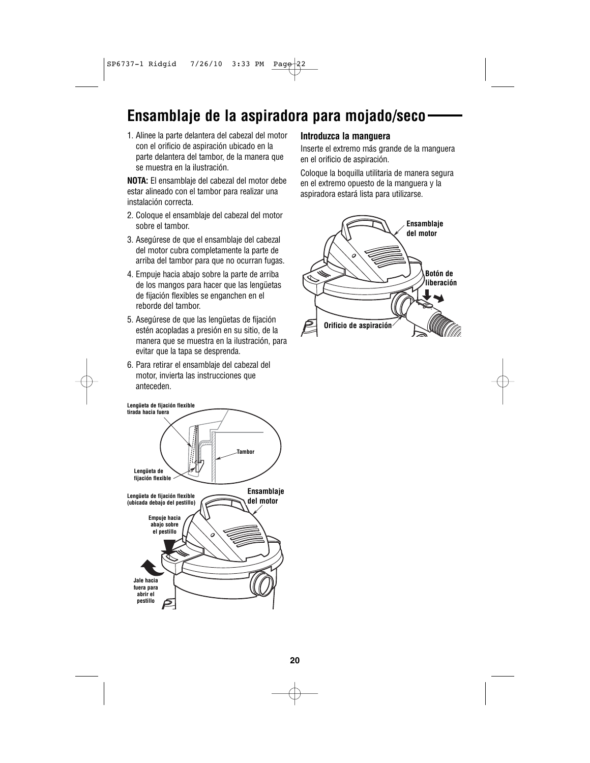## **Ensamblaje de la aspiradora para mojado/seco**

1. Alinee la parte delantera del cabezal del motor con el orificio de aspiración ubicado en la parte delantera del tambor, de la manera que se muestra en la ilustración.

**NOTA:** El ensamblaje del cabezal del motor debe estar alineado con el tambor para realizar una instalación correcta.

- 2. Coloque el ensamblaje del cabezal del motor sobre el tambor.
- 3. Asegúrese de que el ensamblaje del cabezal del motor cubra completamente la parte de arriba del tambor para que no ocurran fugas.
- 4. Empuje hacia abajo sobre la parte de arriba de los mangos para hacer que las lengüetas de fijación flexibles se enganchen en el reborde del tambor.
- 5. Asegúrese de que las lengüetas de fijación estén acopladas a presión en su sitio, de la manera que se muestra en la ilustración, para evitar que la tapa se desprenda.
- 6. Para retirar el ensamblaje del cabezal del motor, invierta las instrucciones que anteceden.



### **Introduzca la manguera**

Inserte el extremo más grande de la manguera en el orificio de aspiración.

Coloque la boquilla utilitaria de manera segura en el extremo opuesto de la manguera y la aspiradora estará lista para utilizarse.

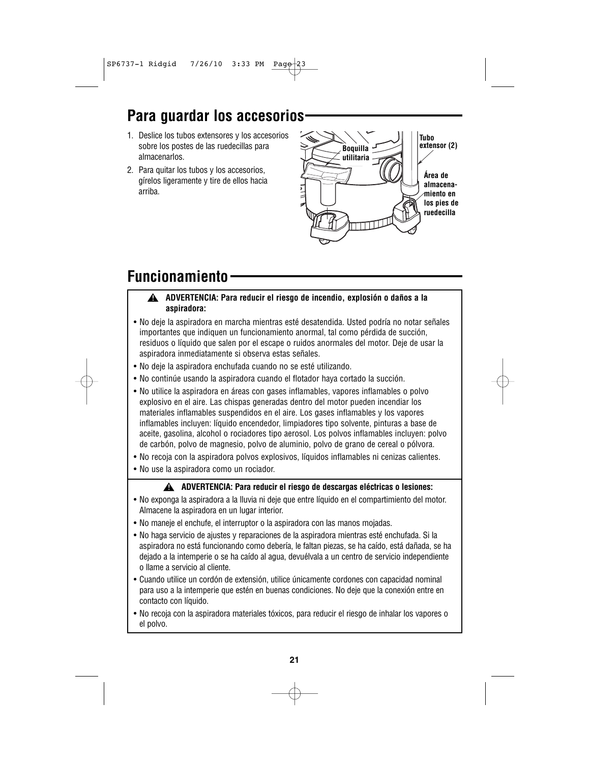## **Para guardar los accesorios**

- 1. Deslice los tubos extensores y los accesorios sobre los postes de las ruedecillas para almacenarlos.
- 2. Para quitar los tubos y los accesorios, gírelos ligeramente y tire de ellos hacia arriba.



## **Funcionamiento**

- **ADVERTENCIA: Para reducir el riesgo de incendio, explosión o daños a la ! aspiradora:**
- No deje la aspiradora en marcha mientras esté desatendida. Usted podría no notar señales importantes que indiquen un funcionamiento anormal, tal como pérdida de succión, residuos o líquido que salen por el escape o ruidos anormales del motor. Deje de usar la aspiradora inmediatamente si observa estas señales.
- No deje la aspiradora enchufada cuando no se esté utilizando.
- No continúe usando la aspiradora cuando el flotador haya cortado la succión.
- No utilice la aspiradora en áreas con gases inflamables, vapores inflamables o polvo explosivo en el aire. Las chispas generadas dentro del motor pueden incendiar los materiales inflamables suspendidos en el aire. Los gases inflamables y los vapores inflamables incluyen: líquido encendedor, limpiadores tipo solvente, pinturas a base de aceite, gasolina, alcohol o rociadores tipo aerosol. Los polvos inflamables incluyen: polvo de carbón, polvo de magnesio, polvo de aluminio, polvo de grano de cereal o pólvora.
- No recoja con la aspiradora polvos explosivos, líquidos inflamables ni cenizas calientes.
- No use la aspiradora como un rociador.

### **ADVERTENCIA: Para reducir el riesgo de descargas eléctricas o lesiones: !**

- No exponga la aspiradora a la lluvia ni deje que entre líquido en el compartimiento del motor. Almacene la aspiradora en un lugar interior.
- No maneje el enchufe, el interruptor o la aspiradora con las manos mojadas.
- No haga servicio de ajustes y reparaciones de la aspiradora mientras esté enchufada. Si la aspiradora no está funcionando como debería, le faltan piezas, se ha caído, está dañada, se ha dejado a la intemperie o se ha caído al agua, devuélvala a un centro de servicio independiente o llame a servicio al cliente.
- Cuando utilice un cordón de extensión, utilice únicamente cordones con capacidad nominal para uso a la intemperie que estén en buenas condiciones. No deje que la conexión entre en contacto con líquido.
- No recoja con la aspiradora materiales tóxicos, para reducir el riesgo de inhalar los vapores o el polvo.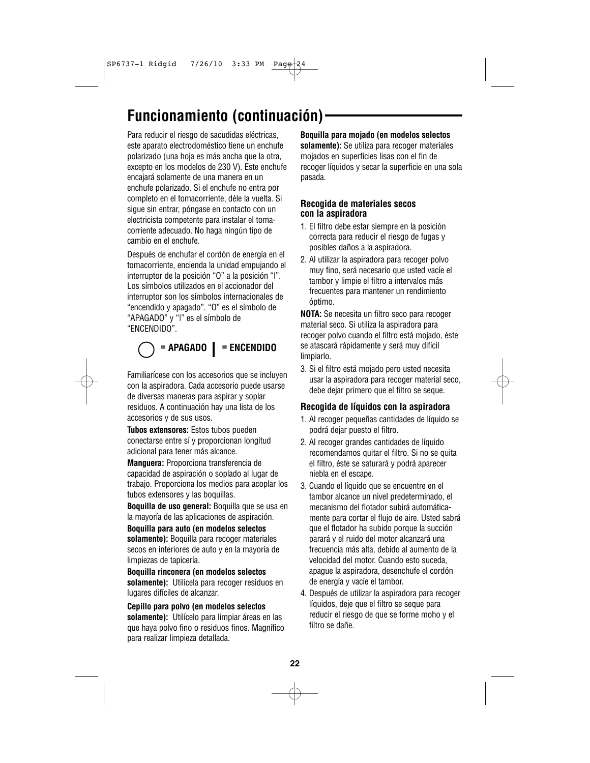## **Funcionamiento (continuación)**

Para reducir el riesgo de sacudidas eléctricas, este aparato electrodoméstico tiene un enchufe polarizado (una hoja es más ancha que la otra, excepto en los modelos de 230 V). Este enchufe encajará solamente de una manera en un enchufe polarizado. Si el enchufe no entra por completo en el tomacorriente, déle la vuelta. Si sigue sin entrar, póngase en contacto con un electricista competente para instalar el tomacorriente adecuado. No haga ningún tipo de cambio en el enchufe.

Después de enchufar el cordón de energía en el tomacorriente, encienda la unidad empujando el interruptor de la posición "O" a la posición "|". Los símbolos utilizados en el accionador del interruptor son los símbolos internacionales de "encendido y apagado". "O" es el símbolo de "APAGADO" y "|" es el símbolo de "ENCENDIDO".

## **= APAGADO = ENCENDIDO**

Familiarícese con los accesorios que se incluyen con la aspiradora. Cada accesorio puede usarse de diversas maneras para aspirar y soplar residuos. A continuación hay una lista de los accesorios y de sus usos.

**Tubos extensores:** Estos tubos pueden conectarse entre sí y proporcionan longitud adicional para tener más alcance.

**Manguera:** Proporciona transferencia de capacidad de aspiración o soplado al lugar de trabajo. Proporciona los medios para acoplar los tubos extensores y las boquillas.

**Boquilla de uso general:** Boquilla que se usa en la mayoría de las aplicaciones de aspiración.

**Boquilla para auto (en modelos selectos solamente):** Boquilla para recoger materiales secos en interiores de auto y en la mayoría de limpiezas de tapicería.

### **Boquilla rinconera (en modelos selectos solamente):** Utilícela para recoger residuos en lugares difíciles de alcanzar.

**Cepillo para polvo (en modelos selectos solamente):** Utilícelo para limpiar áreas en las que haya polvo fino o residuos finos. Magnífico para realizar limpieza detallada.

### **Boquilla para mojado (en modelos selectos solamente):** Se utiliza para recoger materiales mojados en superficies lisas con el fin de recoger líquidos y secar la superficie en una sola pasada.

### **Recogida de materiales secos con la aspiradora**

- 1. El filtro debe estar siempre en la posición correcta para reducir el riesgo de fugas y posibles daños a la aspiradora.
- 2. Al utilizar la aspiradora para recoger polvo muy fino, será necesario que usted vacíe el tambor y limpie el filtro a intervalos más frecuentes para mantener un rendimiento óptimo.

**NOTA:** Se necesita un filtro seco para recoger material seco. Si utiliza la aspiradora para recoger polvo cuando el filtro está mojado, éste se atascará rápidamente y será muy difícil limpiarlo.

3. Si el filtro está mojado pero usted necesita usar la aspiradora para recoger material seco, debe dejar primero que el filtro se seque.

### **Recogida de líquidos con la aspiradora**

- 1. Al recoger pequeñas cantidades de líquido se podrá dejar puesto el filtro.
- 2. Al recoger grandes cantidades de líquido recomendamos quitar el filtro. Si no se quita el filtro, éste se saturará y podrá aparecer niebla en el escape.
- 3. Cuando el líquido que se encuentre en el tambor alcance un nivel predeterminado, el mecanismo del flotador subirá automáticamente para cortar el flujo de aire. Usted sabrá que el flotador ha subido porque la succión parará y el ruido del motor alcanzará una frecuencia más alta, debido al aumento de la velocidad del motor. Cuando esto suceda, apague la aspiradora, desenchufe el cordón de energía y vacíe el tambor.
- 4. Después de utilizar la aspiradora para recoger líquidos, deje que el filtro se seque para reducir el riesgo de que se forme moho y el filtro se dañe.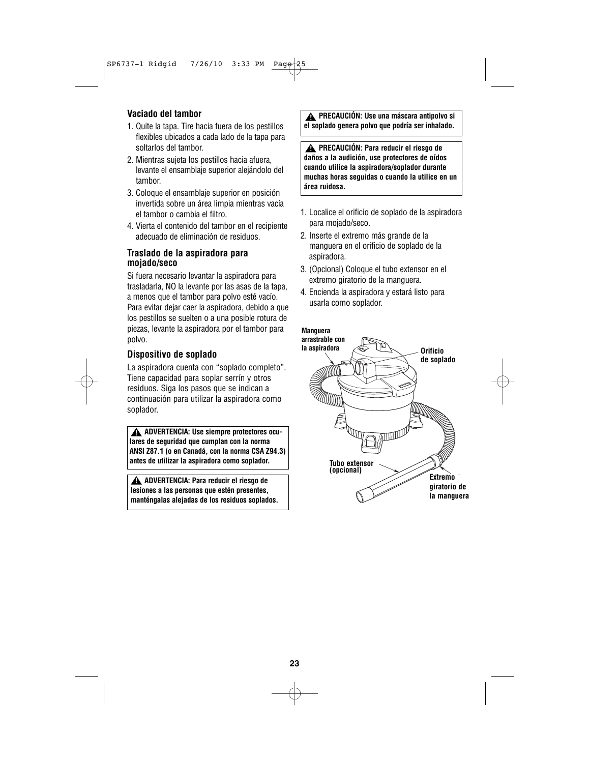### **Vaciado del tambor**

- 1. Quite la tapa. Tire hacia fuera de los pestillos flexibles ubicados a cada lado de la tapa para soltarlos del tambor.
- 2. Mientras sujeta los pestillos hacia afuera, levante el ensamblaje superior alejándolo del tambor.
- 3. Coloque el ensamblaje superior en posición invertida sobre un área limpia mientras vacía el tambor o cambia el filtro.
- 4. Vierta el contenido del tambor en el recipiente adecuado de eliminación de residuos.

### **Traslado de la aspiradora para mojado/seco**

Si fuera necesario levantar la aspiradora para trasladarla, NO la levante por las asas de la tapa, a menos que el tambor para polvo esté vacío. Para evitar dejar caer la aspiradora, debido a que los pestillos se suelten o a una posible rotura de piezas, levante la aspiradora por el tambor para polvo.

### **Dispositivo de soplado**

La aspiradora cuenta con "soplado completo". Tiene capacidad para soplar serrín y otros residuos. Siga los pasos que se indican a continuación para utilizar la aspiradora como soplador.

**ADVERTENCIA: Use siempre protectores ocu-! lares de seguridad que cumplan con la norma ANSI Z87.1 (o en Canadá, con la norma CSA Z94.3) antes de utilizar la aspiradora como soplador.**

**ADVERTENCIA: Para reducir el riesgo de ! lesiones a las personas que estén presentes, manténgalas alejadas de los residuos soplados.**

**PRECAUCIÓN: Use una máscara antipolvo si el soplado genera polvo que podría ser inhalado. !**

**PRECAUCIÓN: Para reducir el riesgo de ! daños a la audición, use protectores de oídos cuando utilice la aspiradora/soplador durante muchas horas seguidas o cuando la utilice en un área ruidosa.**

- 1. Localice el orificio de soplado de la aspiradora para mojado/seco.
- 2. Inserte el extremo más grande de la manguera en el orificio de soplado de la aspiradora.
- 3. (Opcional) Coloque el tubo extensor en el extremo giratorio de la manguera.
- 4. Encienda la aspiradora y estará listo para usarla como soplador.

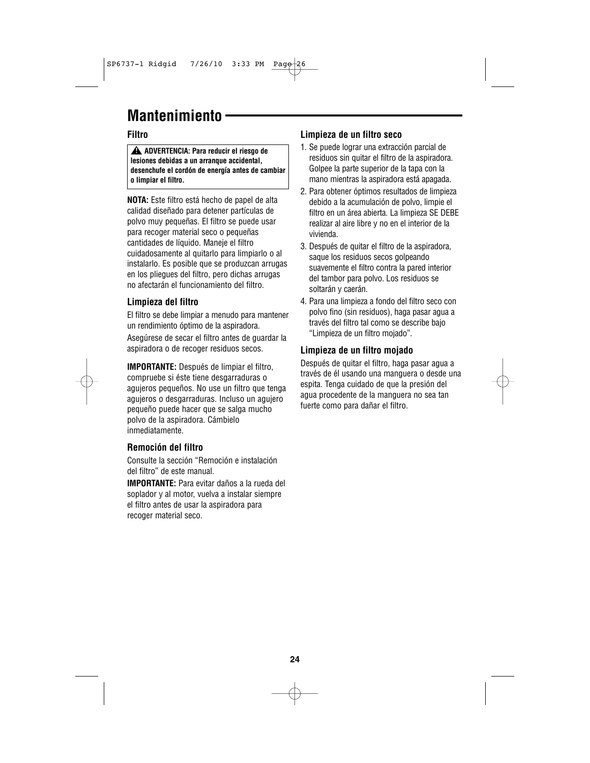### **Mantenimiento**

### **Filtro**

**ADVERTENCIA: Para reducir el riesgo de ! lesiones debidas a un arranque accidental, desenchufe el cordón de energía antes de cambiar o limpiar el filtro.**

**NOTA:** Este filtro está hecho de papel de alta calidad diseñado para detener partículas de polvo muy pequeñas. El filtro se puede usar para recoger material seco o pequeñas cantidades de líquido. Maneje el filtro cuidadosamente al quitarlo para limpiarlo o al instalarlo. Es posible que se produzcan arrugas en los pliegues del filtro, pero dichas arrugas no afectarán el funcionamiento del filtro.

### **Limpieza del filtro**

El filtro se debe limpiar a menudo para mantener un rendimiento óptimo de la aspiradora. Asegúrese de secar el filtro antes de guardar la aspiradora o de recoger residuos secos.

**IMPORTANTE:** Después de limpiar el filtro, compruebe si éste tiene desgarraduras o agujeros pequeños. No use un filtro que tenga agujeros o desgarraduras. Incluso un agujero pequeño puede hacer que se salga mucho polvo de la aspiradora. Cámbielo inmediatamente.

### **Remoción del filtro**

Consulte la sección "Remoción e instalación del filtro" de este manual.

**IMPORTANTE:** Para evitar daños a la rueda del soplador y al motor, vuelva a instalar siempre el filtro antes de usar la aspiradora para recoger material seco.

### **Limpieza de un filtro seco**

- 1. Se puede lograr una extracción parcial de residuos sin quitar el filtro de la aspiradora. Golpee la parte superior de la tapa con la mano mientras la aspiradora está apagada.
- 2. Para obtener óptimos resultados de limpieza debido a la acumulación de polvo, limpie el filtro en un área abierta. La limpieza SE DEBE realizar al aire libre y no en el interior de la vivienda.
- 3. Después de quitar el filtro de la aspiradora, saque los residuos secos golpeando suavemente el filtro contra la pared interior del tambor para polvo. Los residuos se soltarán y caerán.
- 4. Para una limpieza a fondo del filtro seco con polvo fino (sin residuos), haga pasar agua a través del filtro tal como se describe bajo "Limpieza de un filtro mojado".

### **Limpieza de un filtro mojado**

Después de quitar el filtro, haga pasar agua a través de él usando una manguera o desde una espita. Tenga cuidado de que la presión del agua procedente de la manguera no sea tan fuerte como para dañar el filtro.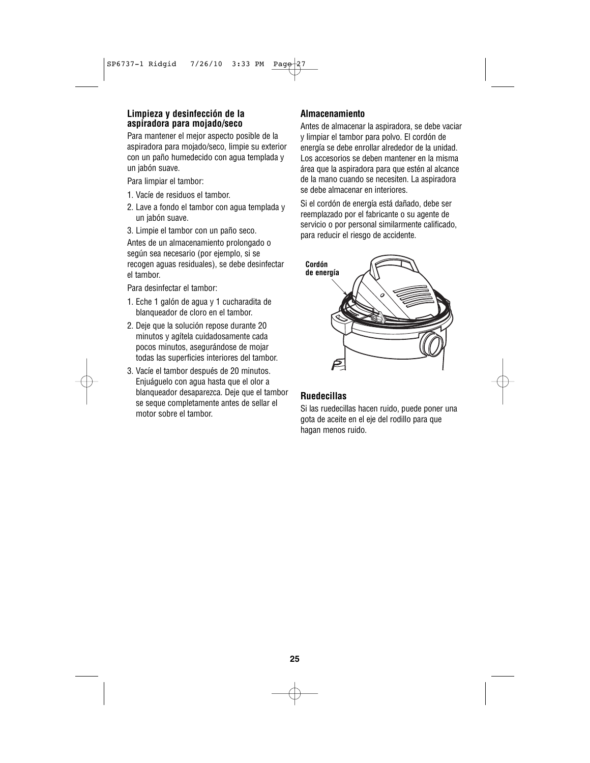### **Limpieza y desinfección de la aspiradora para mojado/seco**

Para mantener el mejor aspecto posible de la aspiradora para mojado/seco, limpie su exterior con un paño humedecido con agua templada y un jabón suave.

Para limpiar el tambor:

- 1. Vacíe de residuos el tambor.
- 2. Lave a fondo el tambor con agua templada y un jabón suave.
- 3. Limpie el tambor con un paño seco.

Antes de un almacenamiento prolongado o según sea necesario (por ejemplo, si se recogen aguas residuales), se debe desinfectar el tambor.

Para desinfectar el tambor:

- 1. Eche 1 galón de agua y 1 cucharadita de blanqueador de cloro en el tambor.
- 2. Deje que la solución repose durante 20 minutos y agítela cuidadosamente cada pocos minutos, asegurándose de mojar todas las superficies interiores del tambor.
- 3. Vacíe el tambor después de 20 minutos. Enjuáguelo con agua hasta que el olor a blanqueador desaparezca. Deje que el tambor se seque completamente antes de sellar el motor sobre el tambor.

### **Almacenamiento**

Antes de almacenar la aspiradora, se debe vaciar y limpiar el tambor para polvo. El cordón de energía se debe enrollar alrededor de la unidad. Los accesorios se deben mantener en la misma área que la aspiradora para que estén al alcance de la mano cuando se necesiten. La aspiradora se debe almacenar en interiores.

Si el cordón de energía está dañado, debe ser reemplazado por el fabricante o su agente de servicio o por personal similarmente calificado, para reducir el riesgo de accidente.



### **Ruedecillas**

Si las ruedecillas hacen ruido, puede poner una gota de aceite en el eje del rodillo para que hagan menos ruido.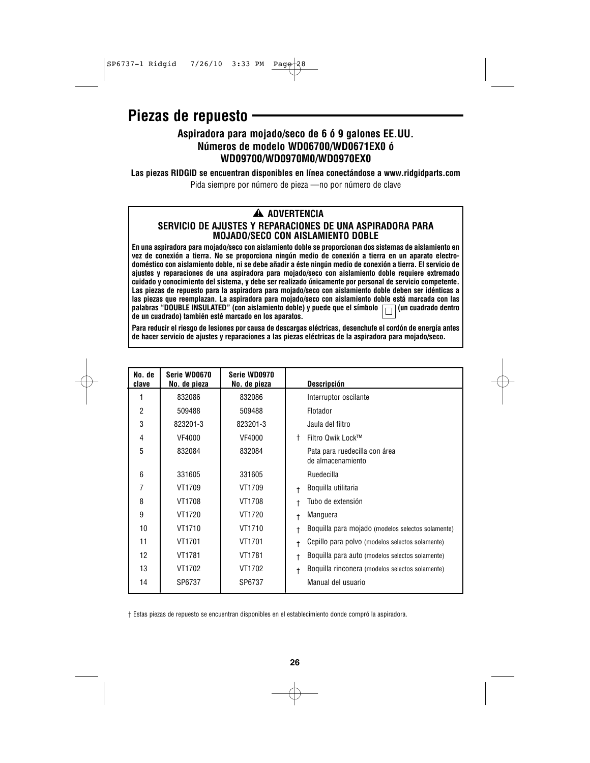### **Piezas de repuesto**

### **Aspiradora para mojado/seco de 6 ó 9 galones EE.UU. Números de modelo WD06700/WD0671EX0 ó WD09700/WD0970M0/WD0970EX0**

**Las piezas RIDGID se encuentran disponibles en línea conectándose a www.ridgidparts.com** Pida siempre por número de pieza —no por número de clave

### **ADVERTENCIA ! SERVICIO DE AJUSTES Y REPARACIONES DE UNA ASPIRADORA PARA MOJADO/SECO CON AISLAMIENTO DOBLE**

**En una aspiradora para mojado/seco con aislamiento doble se proporcionan dos sistemas de aislamiento en vez de conexión a tierra. No se proporciona ningún medio de conexión a tierra en un aparato electrodoméstico con aislamiento doble, ni se debe añadir a éste ningún medio de conexión a tierra. El servicio de ajustes y reparaciones de una aspiradora para mojado/seco con aislamiento doble requiere extremado cuidado y conocimiento del sistema, y debe ser realizado únicamente por personal de servicio competente. Las piezas de repuesto para la aspiradora para mojado/seco con aislamiento doble deben ser idénticas a las piezas que reemplazan. La aspiradora para mojado/seco con aislamiento doble está marcada con las** palabras "DOUBLE INSULATED" (con aislamiento doble) y puede que el símbolo  $\Box$  (un cuadrado dentro **de un cuadrado) también esté marcado en los aparatos.**

**Para reducir el riesgo de lesiones por causa de descargas eléctricas, desenchufe el cordón de energía antes de hacer servicio de ajustes y reparaciones a las piezas eléctricas de la aspiradora para mojado/seco.**

| No. de<br>clave | Serie WD0670<br>No. de pieza | Serie WD0970<br>No. de pieza | <b>Descripción</b>                                            |
|-----------------|------------------------------|------------------------------|---------------------------------------------------------------|
|                 | 832086                       | 832086                       | Interruptor oscilante                                         |
| $\overline{2}$  | 509488                       | 509488                       | Flotador                                                      |
| 3               | 823201-3                     | 823201-3                     | Jaula del filtro                                              |
| 4               | VF4000                       | VF4000                       | Filtro Qwik Lock™<br>$^+$                                     |
| 5               | 832084                       | 832084                       | Pata para ruedecilla con área<br>de almacenamiento            |
| 6               | 331605                       | 331605                       | Ruedecilla                                                    |
| 7               | VT1709                       | VT1709                       | Boquilla utilitaria<br>t                                      |
| 8               | VT1708                       | VT1708                       | Tubo de extensión                                             |
| 9               | VT1720                       | VT1720                       | Manguera                                                      |
| 10              | VT1710                       | VT1710                       | Boquilla para mojado (modelos selectos solamente)             |
| 11              | VT1701                       | VT1701                       | Cepillo para polvo (modelos selectos solamente)<br>$\ddagger$ |
| 12              | VT1781                       | VT1781                       | Boquilla para auto (modelos selectos solamente)<br>t          |
| 13              | VT1702                       | VT1702                       | Boquilla rinconera (modelos selectos solamente)<br>$\ddagger$ |
| 14              | SP6737                       | SP6737                       | Manual del usuario                                            |
|                 |                              |                              |                                                               |

† Estas piezas de repuesto se encuentran disponibles en el establecimiento donde compró la aspiradora.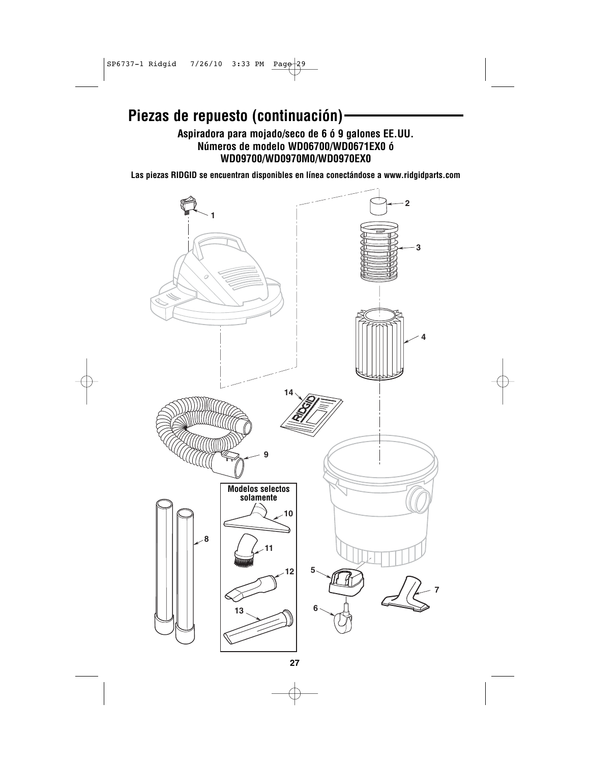

## **Piezas de repuesto (continuación)**

### **Aspiradora para mojado/seco de 6 ó 9 galones EE.UU. Números de modelo WD06700/WD0671EX0 ó WD09700/WD0970M0/WD0970EX0**

**Las piezas RIDGID se encuentran disponibles en línea conectándose a www.ridgidparts.com**